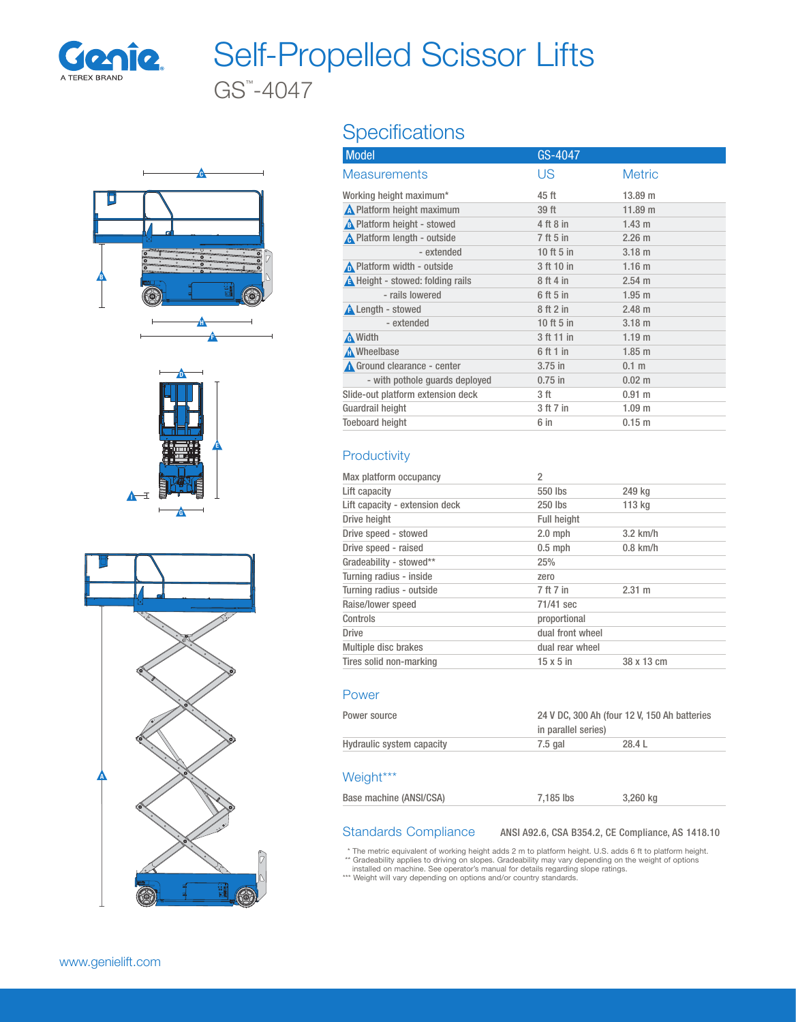

## Self-Propelled Scissor Lifts

GS™ -4047







### **Specifications**

| <b>Model</b>                            | GS-4047    |                   |
|-----------------------------------------|------------|-------------------|
| <b>Measurements</b>                     | US         | <b>Metric</b>     |
| Working height maximum*                 | 45 ft      | 13.89 m           |
| <b>A</b> Platform height maximum        | 39 ft      | 11.89 m           |
| A Platform height - stowed              | 4 ft 8 in  | $1.43 \text{ m}$  |
| <b>A</b> Platform length - outside      | 7 ft 5 in  | 2.26 m            |
| - extended                              | 10 ft 5 in | $3.18$ m          |
| ∧ Platform width - outside              | 3 ft 10 in | 1.16 <sub>m</sub> |
| <b>A</b> Height - stowed: folding rails | 8 ft 4 in  | $2.54 \text{ m}$  |
| - rails lowered                         | 6 ft 5 in  | $1.95$ m          |
| <b>A</b> Length - stowed                | 8ft2in     | $2.48 \text{ m}$  |
| - extended                              | 10 ft 5 in | $3.18$ m          |
| A Width                                 | 3 ft 11 in | 1.19 <sub>m</sub> |
| Mheelbase                               | 6 ft 1 in  | $1.85$ m          |
| Ground clearance - center               | $3.75$ in  | 0.1 <sub>m</sub>  |
| - with pothole guards deployed          | $0.75$ in  | $0.02 \; m$       |
| Slide-out platform extension deck       | 3 ft       | 0.91 m            |
| Guardrail height                        | 3 ft 7 in  | 1.09 <sub>m</sub> |
| <b>Toeboard height</b>                  | 6 in       | 0.15 m            |

### **Productivity**

| Max platform occupancy         | 2                  |            |
|--------------------------------|--------------------|------------|
| Lift capacity                  | 550 lbs            | 249 kg     |
| Lift capacity - extension deck | 250 lbs            | 113 kg     |
| Drive height                   | <b>Full height</b> |            |
| Drive speed - stowed           | $2.0$ mph          | $3.2$ km/h |
| Drive speed - raised           | $0.5$ mph          | $0.8$ km/h |
| Gradeability - stowed**        | 25%                |            |
| Turning radius - inside        | zero               |            |
| Turning radius - outside       | 7 ft 7 in          | 2.31 m     |
| Raise/lower speed              | 71/41 sec          |            |
| Controls                       | proportional       |            |
| <b>Drive</b>                   | dual front wheel   |            |
| Multiple disc brakes           | dual rear wheel    |            |
| Tires solid non-marking        | $15 \times 5$ in   | 38 x 13 cm |
|                                |                    |            |

### Power

| Power source              | 24 V DC, 300 Ah (four 12 V, 150 Ah batteries<br>in parallel series) |        |
|---------------------------|---------------------------------------------------------------------|--------|
| Hydraulic system capacity | 7.5 gal                                                             | 28.4 L |

### Weight\*\*\*

Standards Compliance ANSI A92.6, CSA B354.2, CE Compliance, AS 1418.10

\* The metric equivalent of working height adds 2 m to platform height. U.S. adds 6 ft to platform height.

\*\* Gradeability applies to driving on slopes. Gradeability may vary depending on the weight of options<br>installed on machine. See operator's manual for details regarding slope ratings.<br>\*\*\* Weight will vary depending on opti